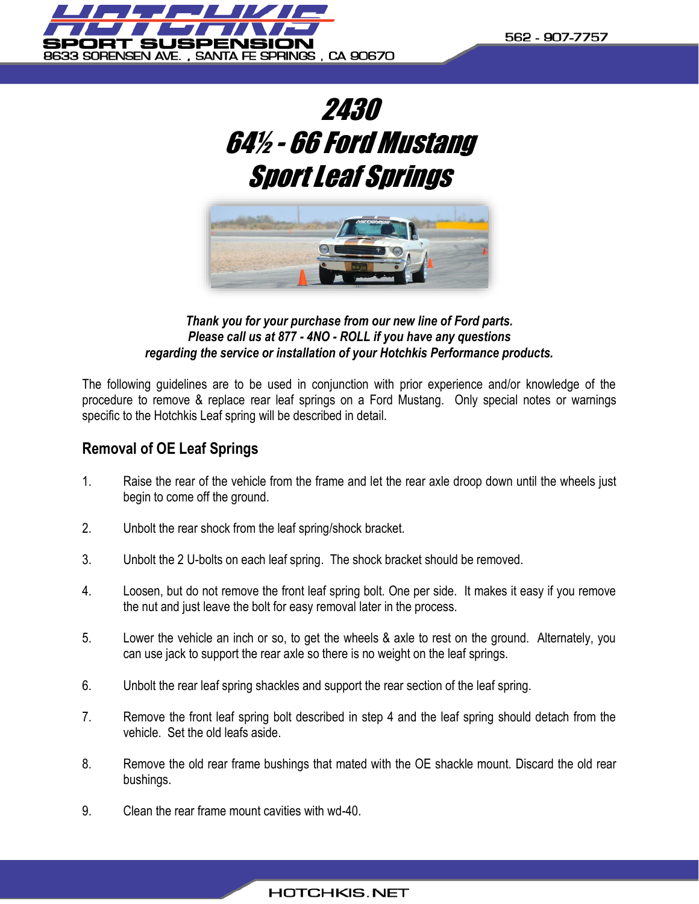





*Thank you for your purchase from our new line of Ford parts. Please call us at 877 - 4NO - ROLL if you have any questions regarding the service or installation of your Hotchkis Performance products.*

The following guidelines are to be used in conjunction with prior experience and/or knowledge of the procedure to remove & replace rear leaf springs on a Ford Mustang. Only special notes or warnings specific to the Hotchkis Leaf spring will be described in detail.

# **Removal of OE Leaf Springs**

- 1. Raise the rear of the vehicle from the frame and let the rear axle droop down until the wheels just begin to come off the ground.
- 2. Unbolt the rear shock from the leaf spring/shock bracket.
- 3. Unbolt the 2 U-bolts on each leaf spring. The shock bracket should be removed.
- 4. Loosen, but do not remove the front leaf spring bolt. One per side. It makes it easy if you remove the nut and just leave the bolt for easy removal later in the process.
- 5. Lower the vehicle an inch or so, to get the wheels & axle to rest on the ground. Alternately, you can use jack to support the rear axle so there is no weight on the leaf springs.
- 6. Unbolt the rear leaf spring shackles and support the rear section of the leaf spring.
- 7. Remove the front leaf spring bolt described in step 4 and the leaf spring should detach from the vehicle. Set the old leafs aside.
- 8. Remove the old rear frame bushings that mated with the OE shackle mount. Discard the old rear bushings.
- 9. Clean the rear frame mount cavities with wd-40.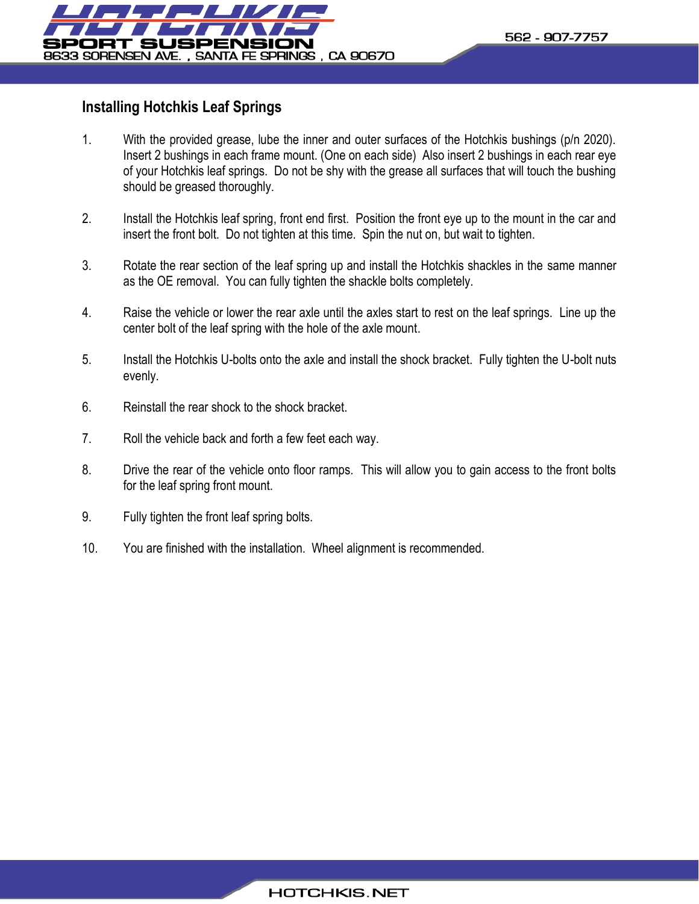

# **Installing Hotchkis Leaf Springs**

- 1. With the provided grease, lube the inner and outer surfaces of the Hotchkis bushings (p/n 2020). Insert 2 bushings in each frame mount. (One on each side) Also insert 2 bushings in each rear eye of your Hotchkis leaf springs. Do not be shy with the grease all surfaces that will touch the bushing should be greased thoroughly.
- 2. Install the Hotchkis leaf spring, front end first. Position the front eye up to the mount in the car and insert the front bolt. Do not tighten at this time. Spin the nut on, but wait to tighten.
- 3. Rotate the rear section of the leaf spring up and install the Hotchkis shackles in the same manner as the OE removal. You can fully tighten the shackle bolts completely.
- 4. Raise the vehicle or lower the rear axle until the axles start to rest on the leaf springs. Line up the center bolt of the leaf spring with the hole of the axle mount.
- 5. Install the Hotchkis U-bolts onto the axle and install the shock bracket. Fully tighten the U-bolt nuts evenly.
- 6. Reinstall the rear shock to the shock bracket.
- 7. Roll the vehicle back and forth a few feet each way.
- 8. Drive the rear of the vehicle onto floor ramps. This will allow you to gain access to the front bolts for the leaf spring front mount.
- 9. Fully tighten the front leaf spring bolts.
- 10. You are finished with the installation. Wheel alignment is recommended.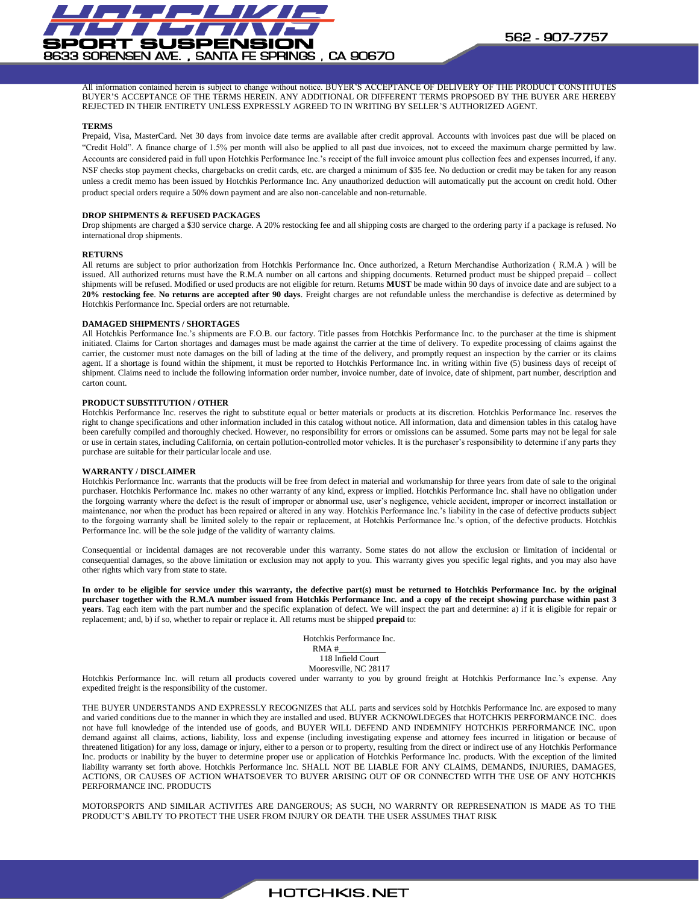

All information contained herein is subject to change without notice. BUYER'S ACCEPTANCE OF DELIVERY OF THE PRODUCT CONSTITUTES BUYER'S ACCEPTANCE OF THE TERMS HEREIN. ANY ADDITIONAL OR DIFFERENT TERMS PROPSOED BY THE BUYER ARE HEREBY REJECTED IN THEIR ENTIRETY UNLESS EXPRESSLY AGREED TO IN WRITING BY SELLER'S AUTHORIZED AGENT.

### **TERMS**

Prepaid, Visa, MasterCard. Net 30 days from invoice date terms are available after credit approval. Accounts with invoices past due will be placed on "Credit Hold". A finance charge of 1.5% per month will also be applied to all past due invoices, not to exceed the maximum charge permitted by law. Accounts are considered paid in full upon Hotchkis Performance Inc.'s receipt of the full invoice amount plus collection fees and expenses incurred, if any. NSF checks stop payment checks, chargebacks on credit cards, etc. are charged a minimum of \$35 fee. No deduction or credit may be taken for any reason unless a credit memo has been issued by Hotchkis Performance Inc. Any unauthorized deduction will automatically put the account on credit hold. Other product special orders require a 50% down payment and are also non-cancelable and non-returnable.

### **DROP SHIPMENTS & REFUSED PACKAGES**

Drop shipments are charged a \$30 service charge. A 20% restocking fee and all shipping costs are charged to the ordering party if a package is refused. No international drop shipments.

## **RETURNS**

All returns are subject to prior authorization from Hotchkis Performance Inc. Once authorized, a Return Merchandise Authorization ( R.M.A ) will be issued. All authorized returns must have the R.M.A number on all cartons and shipping documents. Returned product must be shipped prepaid – collect shipments will be refused. Modified or used products are not eligible for return. Returns **MUST** be made within 90 days of invoice date and are subject to a **20% restocking fee**. **No returns are accepted after 90 days**. Freight charges are not refundable unless the merchandise is defective as determined by Hotchkis Performance Inc. Special orders are not returnable.

#### **DAMAGED SHIPMENTS / SHORTAGES**

All Hotchkis Performance Inc.'s shipments are F.O.B. our factory. Title passes from Hotchkis Performance Inc. to the purchaser at the time is shipment initiated. Claims for Carton shortages and damages must be made against the carrier at the time of delivery. To expedite processing of claims against the carrier, the customer must note damages on the bill of lading at the time of the delivery, and promptly request an inspection by the carrier or its claims agent. If a shortage is found within the shipment, it must be reported to Hotchkis Performance Inc. in writing within five (5) business days of receipt of shipment. Claims need to include the following information order number, invoice number, date of invoice, date of shipment, part number, description and carton count.

### **PRODUCT SUBSTITUTION / OTHER**

Hotchkis Performance Inc. reserves the right to substitute equal or better materials or products at its discretion. Hotchkis Performance Inc. reserves the right to change specifications and other information included in this catalog without notice. All information, data and dimension tables in this catalog have been carefully compiled and thoroughly checked. However, no responsibility for errors or omissions can be assumed. Some parts may not be legal for sale or use in certain states, including California, on certain pollution-controlled motor vehicles. It is the purchaser's responsibility to determine if any parts they purchase are suitable for their particular locale and use.

### **WARRANTY / DISCLAIMER**

Hotchkis Performance Inc. warrants that the products will be free from defect in material and workmanship for three years from date of sale to the original purchaser. Hotchkis Performance Inc. makes no other warranty of any kind, express or implied. Hotchkis Performance Inc. shall have no obligation under the forgoing warranty where the defect is the result of improper or abnormal use, user's negligence, vehicle accident, improper or incorrect installation or maintenance, nor when the product has been repaired or altered in any way. Hotchkis Performance Inc.'s liability in the case of defective products subject to the forgoing warranty shall be limited solely to the repair or replacement, at Hotchkis Performance Inc.'s option, of the defective products. Hotchkis Performance Inc. will be the sole judge of the validity of warranty claims.

Consequential or incidental damages are not recoverable under this warranty. Some states do not allow the exclusion or limitation of incidental or consequential damages, so the above limitation or exclusion may not apply to you. This warranty gives you specific legal rights, and you may also have other rights which vary from state to state.

**In order to be eligible for service under this warranty, the defective part(s) must be returned to Hotchkis Performance Inc. by the original purchaser together with the R.M.A number issued from Hotchkis Performance Inc. and a copy of the receipt showing purchase within past 3 years**. Tag each item with the part number and the specific explanation of defect. We will inspect the part and determine: a) if it is eligible for repair or replacement; and, b) if so, whether to repair or replace it. All returns must be shipped **prepaid** to:

> Hotchkis Performance Inc. RMA #\_\_\_\_\_\_\_\_\_\_\_ 118 Infield Court Mooresville, NC 28117

Hotchkis Performance Inc. will return all products covered under warranty to you by ground freight at Hotchkis Performance Inc.'s expense. Any expedited freight is the responsibility of the customer.

THE BUYER UNDERSTANDS AND EXPRESSLY RECOGNIZES that ALL parts and services sold by Hotchkis Performance Inc. are exposed to many and varied conditions due to the manner in which they are installed and used. BUYER ACKNOWLDEGES that HOTCHKIS PERFORMANCE INC. does not have full knowledge of the intended use of goods, and BUYER WILL DEFEND AND INDEMNIFY HOTCHKIS PERFORMANCE INC. upon demand against all claims, actions, liability, loss and expense (including investigating expense and attorney fees incurred in litigation or because of threatened litigation) for any loss, damage or injury, either to a person or to property, resulting from the direct or indirect use of any Hotchkis Performance Inc. products or inability by the buyer to determine proper use or application of Hotchkis Performance Inc. products. With the exception of the limited liability warranty set forth above. Hotchkis Performance Inc. SHALL NOT BE LIABLE FOR ANY CLAIMS, DEMANDS, INJURIES, DAMAGES, ACTIONS, OR CAUSES OF ACTION WHATSOEVER TO BUYER ARISING OUT OF OR CONNECTED WITH THE USE OF ANY HOTCHKIS PERFORMANCE INC. PRODUCTS

MOTORSPORTS AND SIMILAR ACTIVITES ARE DANGEROUS; AS SUCH, NO WARRNTY OR REPRESENATION IS MADE AS TO THE PRODUCT'S ABILTY TO PROTECT THE USER FROM INJURY OR DEATH. THE USER ASSUMES THAT RISK